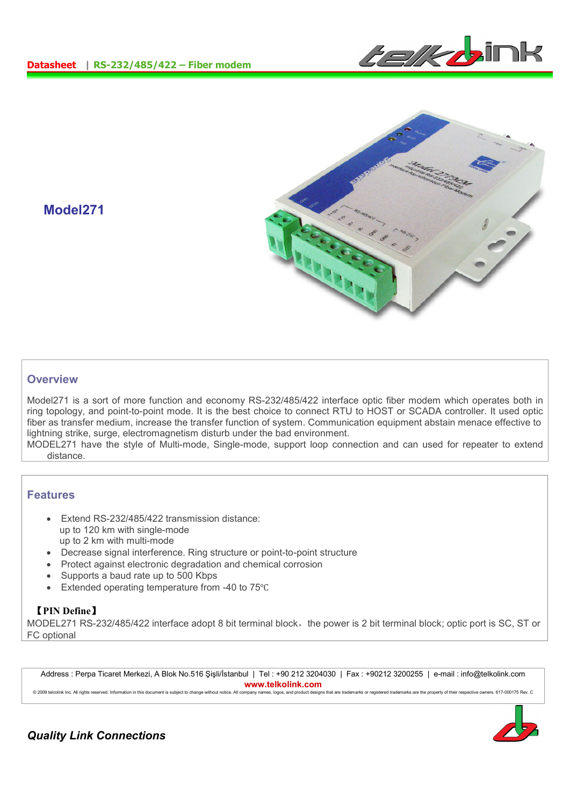



# **Model271**

## **Overview**

Model271 is a sort of more function and economy RS-232/485/422 interface optic fiber modem which operates both in ring topology, and point-to-point mode. It is the best choice to connect RTU to HOST or SCADA controller. It used optic fiber as transfer medium, increase the transfer function of system. Communication equipment abstain menace effective to lightning strike, surge, electromagnetism disturb under the bad environment.

MODEL271 have the style of Multi-mode, Single-mode, support loop connection and can used for repeater to extend distance.

#### **Features**

- Extend RS-232/485/422 transmission distance: up to 120 km with single-mode up to 2 km with multi-mode
- Decrease signal interference. Ring structure or point-to-point structure
- Protect against electronic degradation and chemical corrosion
- Supports a baud rate up to 500 Kbps
- Extended operating temperature from -40 to 75℃

### 【**PIN Define**】

MODEL271 RS-232/485/422 interface adopt 8 bit terminal block, the power is 2 bit terminal block; optic port is SC, ST or FC optional

Address : Perpa Ticaret Merkezi, A Blok No.516 Şişli/İstanbul | Tel : +90 212 3204030 | Fax : +90212 3200255 | e-mail : info@telkolink.com **www.telkolink.com**

@ 2009 telcolink Inc. All rights reserved. Information in this document is subject to change without notice. All company names, logos, and product designs that are trademarks or registered trademarks are the property of th



*Quality Link Connections*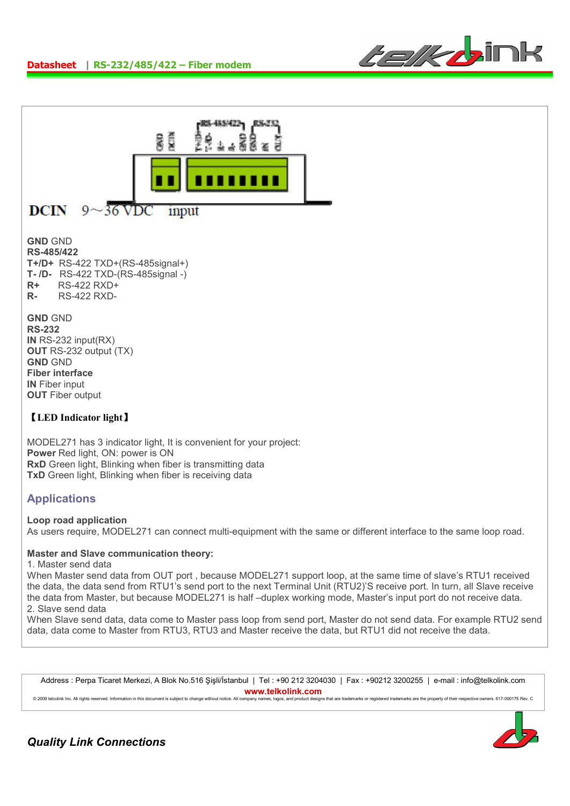



## **GND** GND **RS-485/422 T+/D+** RS-422 TXD+(RS-485signal+) **T- /D-** RS-422 TXD-(RS-485signal -) **R+** RS-422 RXD+ **R-** RS-422 RXD-

**GND** GND **RS-232 IN** RS-232 input(RX) **OUT** RS-232 output (TX) **GND** GND **Fiber interface IN** Fiber input **OUT Fiber output** 

## 【**LED Indicator light**】

MODEL271 has 3 indicator light, It is convenient for your project: **Power** Red light, ON: power is ON **RxD** Green light, Blinking when fiber is transmitting data **TxD** Green light, Blinking when fiber is receiving data

# **Applications**

#### **Loop road application**

As users require, MODEL271 can connect multi-equipment with the same or different interface to the same loop road.

#### **Master and Slave communication theory:**

#### 1. Master send data

When Master send data from OUT port , because MODEL271 support loop, at the same time of slave's RTU1 received the data, the data send from RTU1's send port to the next Terminal Unit (RTU2)'S receive port. In turn, all Slave receive the data from Master, but because MODEL271 is half –duplex working mode, Master's input port do not receive data. 2. Slave send data

When Slave send data, data come to Master pass loop from send port, Master do not send data. For example RTU2 send data, data come to Master from RTU3, RTU3 and Master receive the data, but RTU1 did not receive the data.

Address : Perpa Ticaret Merkezi, A Blok No.516 Şişli/İstanbul | Tel : +90 212 3204030 | Fax : +90212 3200255 | e-mail : info@telkolink.com **www.telkolink.com**

© 2009 telcolink Inc. All rights reserved. Information in this document is subject to change without notice. All company names, logos, and product designs that are trademarks or registered trademarks are the property of th

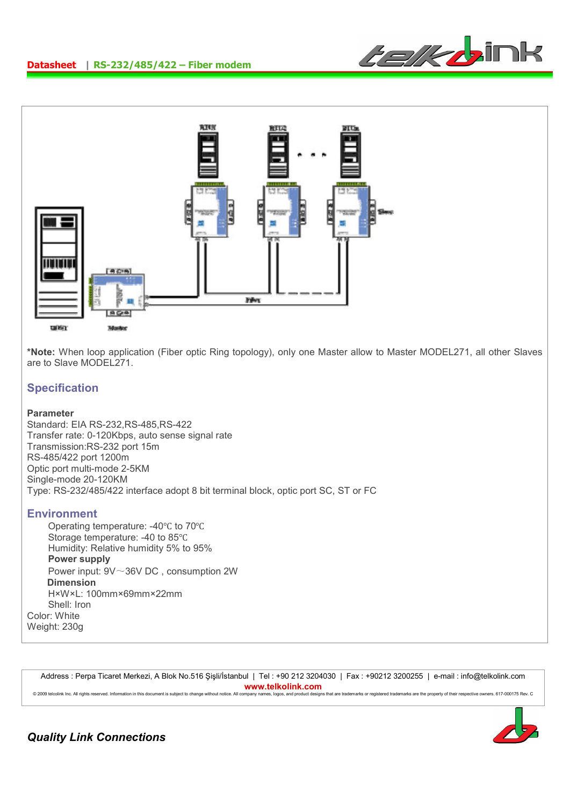



**\*Note:** When loop application (Fiber optic Ring topology), only one Master allow to Master MODEL271, all other Slaves are to Slave MODEL271.

## **Specification**

#### **Parameter**

Standard: EIA RS-232,RS-485,RS-422 Transfer rate: 0-120Kbps, auto sense signal rate Transmission:RS-232 port 15m RS-485/422 port 1200m Optic port multi-mode 2-5KM Single-mode 20-120KM Type: RS-232/485/422 interface adopt 8 bit terminal block, optic port SC, ST or FC

#### **Environment**

Operating temperature: -40℃ to 70℃ Storage temperature: -40 to 85℃ Humidity: Relative humidity 5% to 95% **Power supply**  Power input: 9V~36V DC , consumption 2W **Dimension**  H×W×L: 100mm×69mm×22mm Shell: Iron Color: White Weight: 230g

Address : Perpa Ticaret Merkezi, A Blok No.516 Şişli/İstanbul | Tel : +90 212 3204030 | Fax : +90212 3200255 | e-mail : info@telkolink.com **www.telkolink.com**<br>ompany names, logos, and product designs that are trademarks or registered trademarks are the property of their respective owners. 617-000175 Rev. C © 2009 telcolink Inc. All rights reserved. Information in this document is subject to change without notice. All company names, logos, and product de